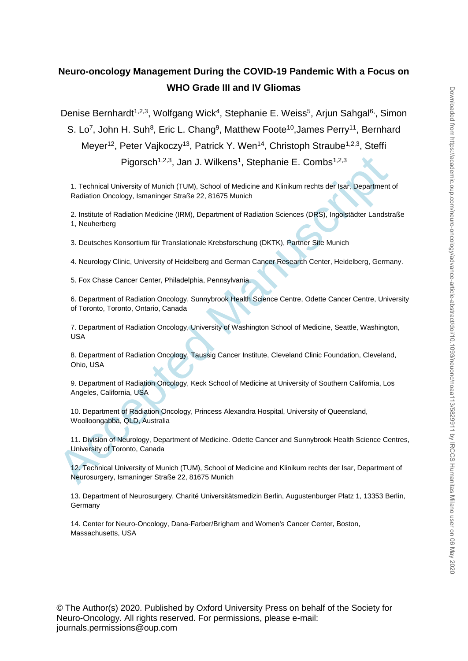# **Neuro-oncology Management During the COVID-19 Pandemic With a Focus on WHO Grade III and IV Gliomas**

Denise Bernhardt<sup>1,2,3</sup>, Wolfgang Wick<sup>4</sup>, Stephanie E. Weiss<sup>5</sup>, Arjun Sahgal<sup>6,</sup>, Simon S. Lo<sup>7</sup>, John H. Suh<sup>8</sup>, Eric L. Chang<sup>9</sup>, Matthew Foote<sup>10</sup>, James Perry<sup>11</sup>, Bernhard Meyer<sup>12</sup>, Peter Vajkoczy<sup>13</sup>, Patrick Y. Wen<sup>14</sup>, Christoph Straube<sup>1,2,3</sup>, Steffi Pigorsch<sup>1,2,3</sup>, Jan J. Wilkens<sup>1</sup>, Stephanie E. Combs<sup>1,2,3</sup>

Pigorsch<sup>1,2,3</sup>, Jan J. Wilkens<sup>1</sup>, Stephanie E. Combs<sup>1,2,3</sup><br>1. Technical University of Munich (TUM), School of Medicine and Klinikum rechts der Isar, Department<br>Radiation Onology, Ismaninger Straße 22, 81675 Munich<br>2. In 1. Technical University of Munich (TUM), School of Medicine and Klinikum rechts der Isar, Department of Radiation Oncology, Ismaninger Straße 22, 81675 Munich

2. Institute of Radiation Medicine (IRM), Department of Radiation Sciences (DRS), Ingolstädter Landstraße 1, Neuherberg

3. Deutsches Konsortium für Translationale Krebsforschung (DKTK), Partner Site Munich

4. Neurology Clinic, University of Heidelberg and German Cancer Research Center, Heidelberg, Germany.

5. Fox Chase Cancer Center, Philadelphia, Pennsylvania.

6. Department of Radiation Oncology, Sunnybrook Health Science Centre, Odette Cancer Centre, University of Toronto, Toronto, Ontario, Canada

7. Department of Radiation Oncology, University of Washington School of Medicine, Seattle, Washington, USA

8. Department of Radiation Oncology, Taussig Cancer Institute, Cleveland Clinic Foundation, Cleveland, Ohio, USA

9. Department of Radiation Oncology, Keck School of Medicine at University of Southern California, Los Angeles, California, USA

10. Department of Radiation Oncology, Princess Alexandra Hospital, University of Queensland, Woolloongabba, QLD, Australia

11. Division of Neurology, Department of Medicine. Odette Cancer and Sunnybrook Health Science Centres, University of Toronto, Canada

12. Technical University of Munich (TUM), School of Medicine and Klinikum rechts der Isar, Department of Neurosurgery, Ismaninger Straße 22, 81675 Munich

13. Department of Neurosurgery, Charité Universitätsmedizin Berlin, Augustenburger Platz 1, 13353 Berlin, Germany

14. Center for Neuro-Oncology, Dana-Farber/Brigham and Women's Cancer Center, Boston, Massachusetts, USA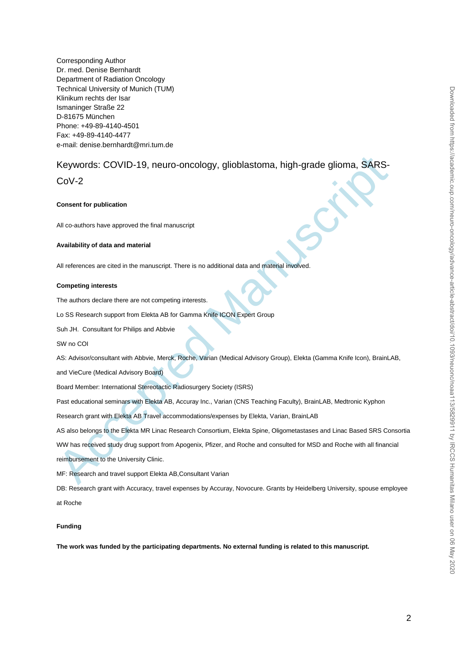Corresponding Author Dr. med. Denise Bernhardt Department of Radiation Oncology Technical University of Munich (TUM) Klinikum rechts der Isar Ismaninger Straße 22 D-81675 München Phone: +49-89-4140-4501 Fax: +49-89-4140-4477 e-mail: denise.bernhardt@mri.tum.de

# Keywords: COVID-19, neuro-oncology, glioblastoma, high-grade glioma, SARS-

 $C_0V-2$ 

#### **Consent for publication**

All co-authors have approved the final manuscript

#### **Availability of data and material**

All references are cited in the manuscript. There is no additional data and material involved.

#### **Competing interests**

The authors declare there are not competing interests.

Lo SS Research support from Elekta AB for Gamma Knife ICON Expert Group

Suh JH. Consultant for Philips and Abbvie

#### SW no COI

AS: Advisor/consultant with Abbvie, Merck, Roche, Varian (Medical Advisory Group), Elekta (Gamma Knife Icon), BrainLAB,

and VieCure (Medical Advisory Board)

Board Member: International Stereotactic Radiosurgery Society (ISRS)

Past educational seminars with Elekta AB, Accuray Inc., Varian (CNS Teaching Faculty), BrainLAB, Medtronic Kyphon

Research grant with Elekta AB Travel accommodations/expenses by Elekta, Varian, BrainLAB

AS also belongs to the Elekta MR Linac Research Consortium, Elekta Spine, Oligometastases and Linac Based SRS Consortia

Keyword's: COVID-19, neuro-oncology, glioblastoma, high-grade glioma, SARS-<br>CoV-2<br>Consent for publication<br>Manuscript of publication<br>Manuscript of data and material<br>Analability of data and material<br>Analability of data and m WW has received study drug support from Apogenix, Pfizer, and Roche and consulted for MSD and Roche with all financial reimbursement to the University Clinic.

MF: Research and travel support Elekta AB,Consultant Varian

DB: Research grant with Accuracy, travel expenses by Accuray, Novocure. Grants by Heidelberg University, spouse employee at Roche

#### **Funding**

**The work was funded by the participating departments. No external funding is related to this manuscript.**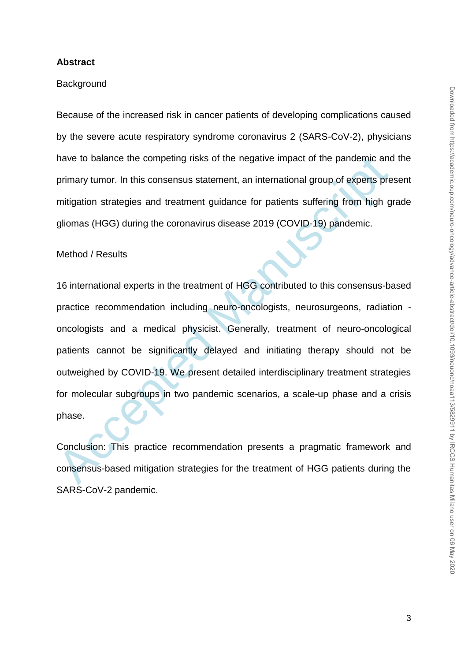#### **Abstract**

#### **Background**

Because of the increased risk in cancer patients of developing complications caused by the severe acute respiratory syndrome coronavirus 2 (SARS-CoV-2), physicians have to balance the competing risks of the negative impact of the pandemic and the primary tumor. In this consensus statement, an international group of experts present mitigation strategies and treatment guidance for patients suffering from high grade gliomas (HGG) during the coronavirus disease 2019 (COVID-19) pandemic.

## Method / Results

have to balance the competing risks of the negative impact of the pandemic and<br>primary tumor. In this consensus statement, an international group of experts pre<br>mitigation strategies and treatment guidance for patients suf 16 international experts in the treatment of HGG contributed to this consensus-based practice recommendation including neuro-oncologists, neurosurgeons, radiation oncologists and a medical physicist. Generally, treatment of neuro-oncological patients cannot be significantly delayed and initiating therapy should not be outweighed by COVID-19. We present detailed interdisciplinary treatment strategies for molecular subgroups in two pandemic scenarios, a scale-up phase and a crisis phase.

Conclusion: This practice recommendation presents a pragmatic framework and consensus-based mitigation strategies for the treatment of HGG patients during the SARS-CoV-2 pandemic.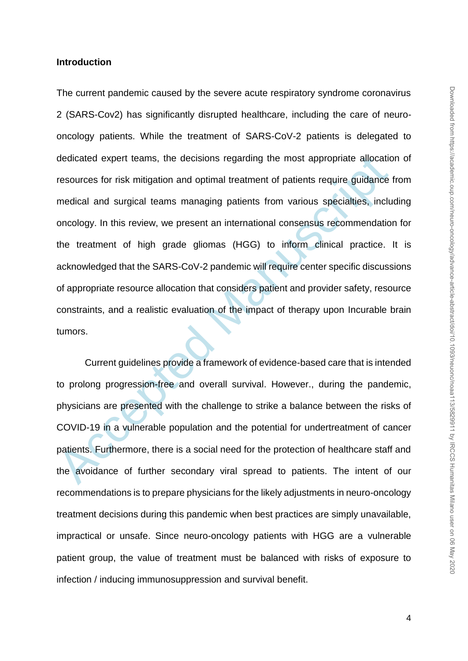#### **Introduction**

dedicated expert teams, the decisions regarding the most appropriate allocatic<br>resources for risk mitigation and optimal treatment of patients require guidance<br>medical and surgical teams managing patients from various spec The current pandemic caused by the severe acute respiratory syndrome coronavirus 2 (SARS-Cov2) has significantly disrupted healthcare, including the care of neurooncology patients. While the treatment of SARS-CoV-2 patients is delegated to dedicated expert teams, the decisions regarding the most appropriate allocation of resources for risk mitigation and optimal treatment of patients require guidance from medical and surgical teams managing patients from various specialties, including oncology. In this review, we present an international consensus recommendation for the treatment of high grade gliomas (HGG) to inform clinical practice. It is acknowledged that the SARS-CoV-2 pandemic will require center specific discussions of appropriate resource allocation that considers patient and provider safety, resource constraints, and a realistic evaluation of the impact of therapy upon Incurable brain tumors.

Current guidelines provide a framework of evidence-based care that is intended to prolong progression-free and overall survival. However., during the pandemic, physicians are presented with the challenge to strike a balance between the risks of COVID-19 in a vulnerable population and the potential for undertreatment of cancer patients. Furthermore, there is a social need for the protection of healthcare staff and the avoidance of further secondary viral spread to patients. The intent of our recommendations is to prepare physicians for the likely adjustments in neuro-oncology treatment decisions during this pandemic when best practices are simply unavailable, impractical or unsafe. Since neuro-oncology patients with HGG are a vulnerable patient group, the value of treatment must be balanced with risks of exposure to infection / inducing immunosuppression and survival benefit.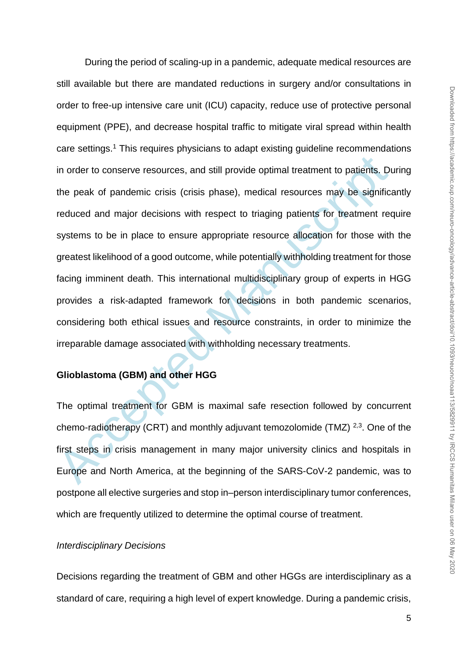in order to conserve resources, and still provide optimal treatment to patients. Du<br>the peak of pandemic crisis (crisis phase), medical resources may be significa<br>reduced and major decisions with respect to triaging patien During the period of scaling-up in a pandemic, adequate medical resources are still available but there are mandated reductions in surgery and/or consultations in order to free-up intensive care unit (ICU) capacity, reduce use of protective personal equipment (PPE), and decrease hospital traffic to mitigate viral spread within health care settings.<sup>1</sup> This requires physicians to adapt existing guideline recommendations in order to conserve resources, and still provide optimal treatment to patients. During the peak of pandemic crisis (crisis phase), medical resources may be significantly reduced and major decisions with respect to triaging patients for treatment require systems to be in place to ensure appropriate resource allocation for those with the greatest likelihood of a good outcome, while potentially withholding treatment for those facing imminent death. This international multidisciplinary group of experts in HGG provides a risk-adapted framework for decisions in both pandemic scenarios, considering both ethical issues and resource constraints, in order to minimize the irreparable damage associated with withholding necessary treatments.

# **Glioblastoma (GBM) and other HGG**

The optimal treatment for GBM is maximal safe resection followed by concurrent chemo-radiotherapy (CRT) and monthly adjuvant temozolomide (TMZ)  $^{2,3}$ . One of the first steps in crisis management in many major university clinics and hospitals in Europe and North America, at the beginning of the SARS-CoV-2 pandemic, was to postpone all elective surgeries and stop in–person interdisciplinary tumor conferences, which are frequently utilized to determine the optimal course of treatment.

### *Interdisciplinary Decisions*

Decisions regarding the treatment of GBM and other HGGs are interdisciplinary as a standard of care, requiring a high level of expert knowledge. During a pandemic crisis,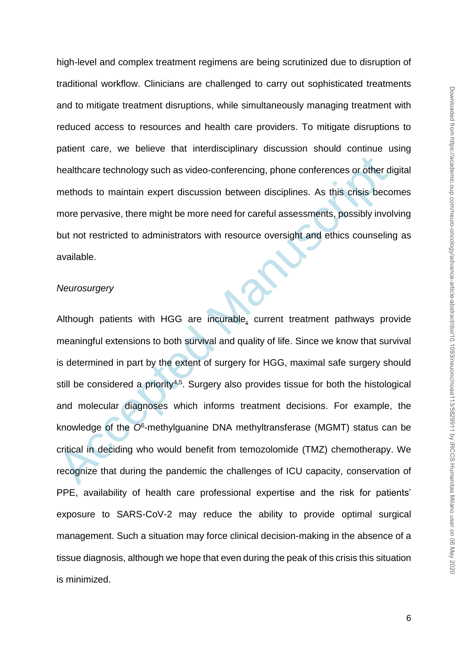high-level and complex treatment regimens are being scrutinized due to disruption of traditional workflow. Clinicians are challenged to carry out sophisticated treatments and to mitigate treatment disruptions, while simultaneously managing treatment with reduced access to resources and health care providers. To mitigate disruptions to patient care, we believe that interdisciplinary discussion should continue using healthcare technology such as video-conferencing, phone conferences or other digital methods to maintain expert discussion between disciplines. As this crisis becomes more pervasive, there might be more need for careful assessments, possibly involving but not restricted to administrators with resource oversight and ethics counseling as available.

#### *Neurosurgery*

healthcare technology such as video-conferencing, phone conferences or other differences to methods to maintain expert discussion between disciplines. As this crisis becomere pervasive, there might be more need for careful Although patients with HGG are incurable, current treatment pathways provide meaningful extensions to both survival and quality of life. Since we know that survival is determined in part by the extent of surgery for HGG, maximal safe surgery should still be considered a priority<sup>4,5</sup>. Surgery also provides tissue for both the histological and molecular diagnoses which informs treatment decisions. For example, the knowledge of the *O*<sup>6</sup> -methylguanine DNA methyltransferase (MGMT) status can be critical in deciding who would benefit from temozolomide (TMZ) chemotherapy. We recognize that during the pandemic the challenges of ICU capacity, conservation of PPE, availability of health care professional expertise and the risk for patients' exposure to SARS-CoV-2 may reduce the ability to provide optimal surgical management. Such a situation may force clinical decision-making in the absence of a tissue diagnosis, although we hope that even during the peak of this crisis this situation is minimized.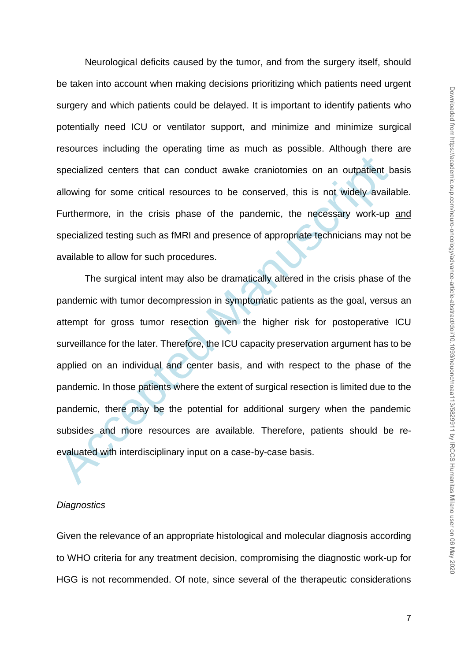Neurological deficits caused by the tumor, and from the surgery itself, should be taken into account when making decisions prioritizing which patients need urgent surgery and which patients could be delayed. It is important to identify patients who potentially need ICU or ventilator support, and minimize and minimize surgical resources including the operating time as much as possible. Although there are specialized centers that can conduct awake craniotomies on an outpatient basis allowing for some critical resources to be conserved, this is not widely available. Furthermore, in the crisis phase of the pandemic, the necessary work-up and specialized testing such as fMRI and presence of appropriate technicians may not be available to allow for such procedures.

specialized centers that can conduct awake craniotomies on an outpatient ballowing for some critical resources to be conserved, this is not widely availa<br>Furthermore, in the crisis phase of the pandemic, the necessary work The surgical intent may also be dramatically altered in the crisis phase of the pandemic with tumor decompression in symptomatic patients as the goal, versus an attempt for gross tumor resection given the higher risk for postoperative ICU surveillance for the later. Therefore, the ICU capacity preservation argument has to be applied on an individual and center basis, and with respect to the phase of the pandemic. In those patients where the extent of surgical resection is limited due to the pandemic, there may be the potential for additional surgery when the pandemic subsides and more resources are available. Therefore, patients should be reevaluated with interdisciplinary input on a case-by-case basis.

## *Diagnostics*

Given the relevance of an appropriate histological and molecular diagnosis according to WHO criteria for any treatment decision, compromising the diagnostic work-up for HGG is not recommended. Of note, since several of the therapeutic considerations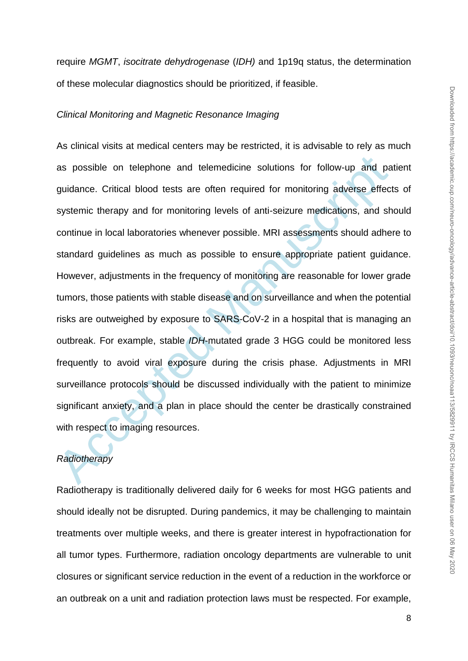require *MGMT*, *isocitrate dehydrogenase* (*IDH)* and 1p19q status, the determination of these molecular diagnostics should be prioritized, if feasible.

#### *Clinical Monitoring and Magnetic Resonance Imaging*

as possible on telephone and telemedicine solutions for follow-up and paguidance. Critical blood tests are often required for monitoring adverse effect systemic therapy and for monitoring levels of anti-seizure medications As clinical visits at medical centers may be restricted, it is advisable to rely as much as possible on telephone and telemedicine solutions for follow-up and patient guidance. Critical blood tests are often required for monitoring adverse effects of systemic therapy and for monitoring levels of anti-seizure medications, and should continue in local laboratories whenever possible. MRI assessments should adhere to standard guidelines as much as possible to ensure appropriate patient guidance. However, adjustments in the frequency of monitoring are reasonable for lower grade tumors, those patients with stable disease and on surveillance and when the potential risks are outweighed by exposure to SARS-CoV-2 in a hospital that is managing an outbreak. For example, stable *IDH*-mutated grade 3 HGG could be monitored less frequently to avoid viral exposure during the crisis phase. Adjustments in MRI surveillance protocols should be discussed individually with the patient to minimize significant anxiety, and a plan in place should the center be drastically constrained with respect to imaging resources.

# *Radiotherapy*

Radiotherapy is traditionally delivered daily for 6 weeks for most HGG patients and should ideally not be disrupted. During pandemics, it may be challenging to maintain treatments over multiple weeks, and there is greater interest in hypofractionation for all tumor types. Furthermore, radiation oncology departments are vulnerable to unit closures or significant service reduction in the event of a reduction in the workforce or an outbreak on a unit and radiation protection laws must be respected. For example,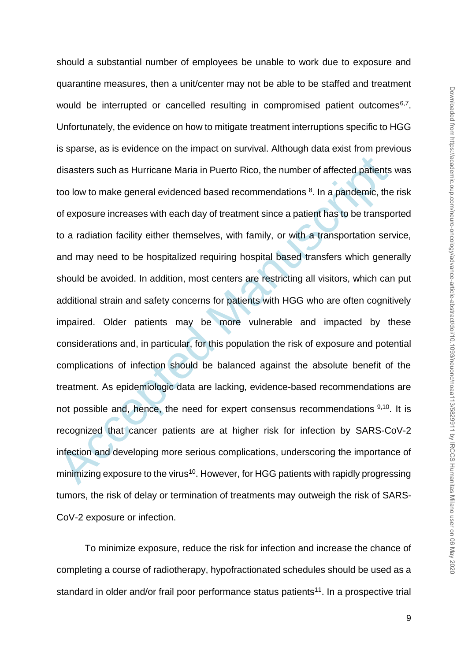disasters such as Hurricane Maria in Puerto Rico, the number of affected patients<br>too low to make general evidenced based recommendations <sup>8</sup>. In a pandemic, the<br>of exposure increases with each day of treatment since a pat should a substantial number of employees be unable to work due to exposure and quarantine measures, then a unit/center may not be able to be staffed and treatment would be interrupted or cancelled resulting in compromised patient outcomes $6,7$ . Unfortunately, the evidence on how to mitigate treatment interruptions specific to HGG is sparse, as is evidence on the impact on survival. Although data exist from previous disasters such as Hurricane Maria in Puerto Rico, the number of affected patients was too low to make general evidenced based recommendations <sup>8</sup>. In a pandemic, the risk of exposure increases with each day of treatment since a patient has to be transported to a radiation facility either themselves, with family, or with a transportation service, and may need to be hospitalized requiring hospital based transfers which generally should be avoided. In addition, most centers are restricting all visitors, which can put additional strain and safety concerns for patients with HGG who are often cognitively impaired. Older patients may be more vulnerable and impacted by these considerations and, in particular, for this population the risk of exposure and potential complications of infection should be balanced against the absolute benefit of the treatment. As epidemiologic data are lacking, evidence-based recommendations are not possible and, hence, the need for expert consensus recommendations 9,10. It is recognized that cancer patients are at higher risk for infection by SARS-CoV-2 infection and developing more serious complications, underscoring the importance of minimizing exposure to the virus<sup>10</sup>. However, for HGG patients with rapidly progressing tumors, the risk of delay or termination of treatments may outweigh the risk of SARS-CoV-2 exposure or infection.

To minimize exposure, reduce the risk for infection and increase the chance of completing a course of radiotherapy, hypofractionated schedules should be used as a standard in older and/or frail poor performance status patients<sup>11</sup>. In a prospective trial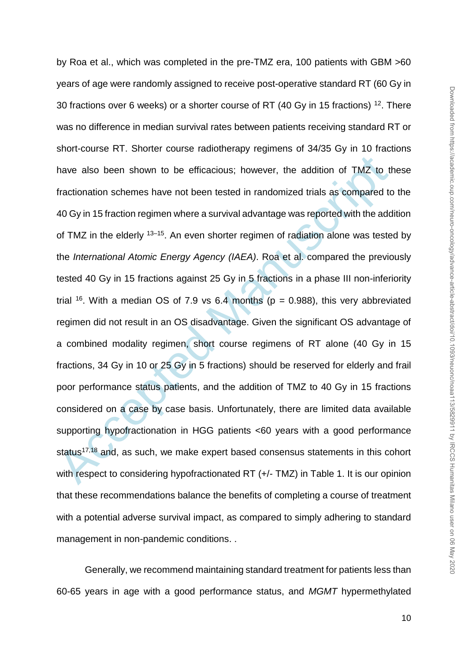have also been shown to be efficacious; however, the addition of TMZ to the fractionation schemes have not been tested in randomized trials as compared to 40 Gy in 15 fraction regimen where a survival advantage was report by Roa et al., which was completed in the pre-TMZ era, 100 patients with GBM >60 years of age were randomly assigned to receive post-operative standard RT (60 Gy in 30 fractions over 6 weeks) or a shorter course of RT (40 Gy in 15 fractions) <sup>12</sup>. There was no difference in median survival rates between patients receiving standard RT or short-course RT. Shorter course radiotherapy regimens of 34/35 Gy in 10 fractions have also been shown to be efficacious; however, the addition of TMZ to these fractionation schemes have not been tested in randomized trials as compared to the 40 Gy in 15 fraction regimen where a survival advantage was reported with the addition of TMZ in the elderly <sup>13-15</sup>. An even shorter regimen of radiation alone was tested by the *International Atomic Energy Agency (IAEA)*. Roa et al. compared the previously tested 40 Gy in 15 fractions against 25 Gy in 5 fractions in a phase III non-inferiority trial <sup>16</sup>. With a median OS of 7.9 vs 6.4 months ( $p = 0.988$ ), this very abbreviated regimen did not result in an OS disadvantage. Given the significant OS advantage of a combined modality regimen, short course regimens of RT alone (40 Gy in 15 fractions, 34 Gy in 10 or 25 Gy in 5 fractions) should be reserved for elderly and frail poor performance status patients, and the addition of TMZ to 40 Gy in 15 fractions considered on a case by case basis. Unfortunately, there are limited data available supporting hypofractionation in HGG patients <60 years with a good performance status<sup>17,18</sup> and, as such, we make expert based consensus statements in this cohort with respect to considering hypofractionated RT (+/- TMZ) in Table 1. It is our opinion that these recommendations balance the benefits of completing a course of treatment with a potential adverse survival impact, as compared to simply adhering to standard management in non-pandemic conditions. .

Generally, we recommend maintaining standard treatment for patients less than 60-65 years in age with a good performance status, and *MGMT* hypermethylated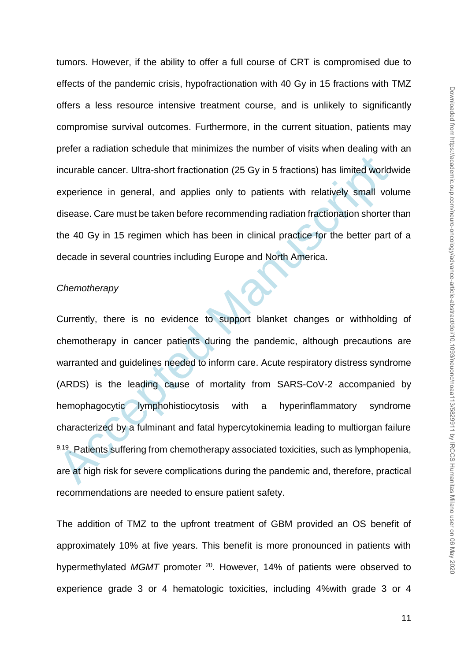tumors. However, if the ability to offer a full course of CRT is compromised due to effects of the pandemic crisis, hypofractionation with 40 Gy in 15 fractions with TMZ offers a less resource intensive treatment course, and is unlikely to significantly compromise survival outcomes. Furthermore, in the current situation, patients may prefer a radiation schedule that minimizes the number of visits when dealing with an incurable cancer. Ultra-short fractionation (25 Gy in 5 fractions) has limited worldwide experience in general, and applies only to patients with relatively small volume disease. Care must be taken before recommending radiation fractionation shorter than the 40 Gy in 15 regimen which has been in clinical practice for the better part of a decade in several countries including Europe and North America.

## *Chemotherapy*

incurable cancer. Ultra-short fractionation (25 Gy in 5 fractions) has limited worlds<br>experience in general, and applies only to patients with relatively small volds<br>experience in general, and applies only to patients with Currently, there is no evidence to support blanket changes or withholding of chemotherapy in cancer patients during the pandemic, although precautions are warranted and guidelines needed to inform care. Acute respiratory distress syndrome (ARDS) is the leading cause of mortality from SARS-CoV-2 accompanied by hemophagocytic lymphohistiocytosis with a hyperinflammatory syndrome characterized by a fulminant and fatal hypercytokinemia leading to multiorgan failure 9,19. Patients suffering from chemotherapy associated toxicities, such as lymphopenia, are at high risk for severe complications during the pandemic and, therefore, practical recommendations are needed to ensure patient safety.

The addition of TMZ to the upfront treatment of GBM provided an OS benefit of approximately 10% at five years. This benefit is more pronounced in patients with hypermethylated MGMT promoter <sup>20</sup>. However, 14% of patients were observed to experience grade 3 or 4 hematologic toxicities, including 4%with grade 3 or 4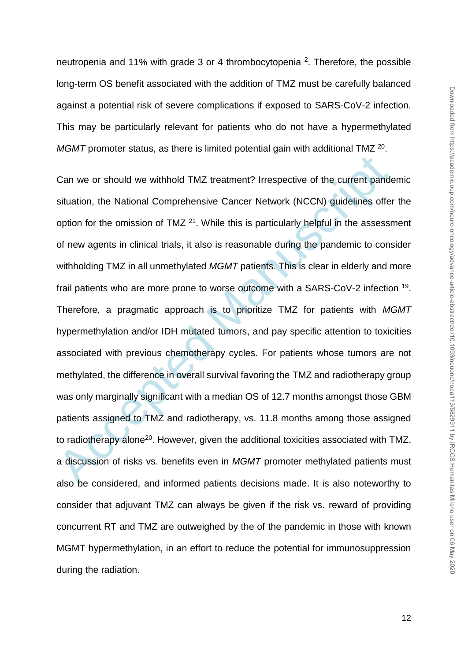neutropenia and 11% with grade 3 or 4 thrombocytopenia <sup>2</sup>. Therefore, the possible long-term OS benefit associated with the addition of TMZ must be carefully balanced against a potential risk of severe complications if exposed to SARS-CoV-2 infection. This may be particularly relevant for patients who do not have a hypermethylated MGMT promoter status, as there is limited potential gain with additional TMZ <sup>20</sup>.

Can we or should we withhold TMZ treatment? Irrespective of the current pands<br>ituation, the National Comprehensive Cancer Network (NCCN) guidelines offer<br>option for the omission of TMZ <sup>21</sup>. While this is particularly hel Can we or should we withhold TMZ treatment? Irrespective of the current pandemic situation, the National Comprehensive Cancer Network (NCCN) guidelines offer the option for the omission of TMZ <sup>21</sup>. While this is particularly helpful in the assessment of new agents in clinical trials, it also is reasonable during the pandemic to consider withholding TMZ in all unmethylated *MGMT* patients. This is clear in elderly and more frail patients who are more prone to worse outcome with a SARS-CoV-2 infection <sup>19</sup>. Therefore, a pragmatic approach is to prioritize TMZ for patients with *MGMT* hypermethylation and/or IDH mutated tumors, and pay specific attention to toxicities associated with previous chemotherapy cycles. For patients whose tumors are not methylated, the difference in overall survival favoring the TMZ and radiotherapy group was only marginally significant with a median OS of 12.7 months amongst those GBM patients assigned to TMZ and radiotherapy, vs. 11.8 months among those assigned to radiotherapy alone<sup>20</sup>. However, given the additional toxicities associated with TMZ, a discussion of risks vs. benefits even in *MGMT* promoter methylated patients must also be considered, and informed patients decisions made. It is also noteworthy to consider that adjuvant TMZ can always be given if the risk vs. reward of providing concurrent RT and TMZ are outweighed by the of the pandemic in those with known MGMT hypermethylation, in an effort to reduce the potential for immunosuppression during the radiation.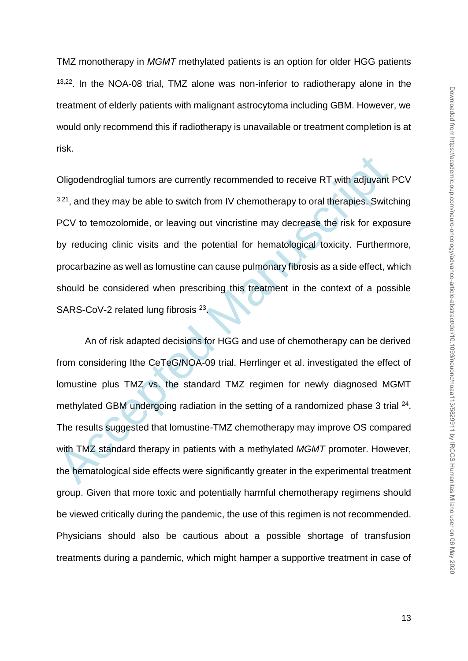TMZ monotherapy in *MGMT* methylated patients is an option for older HGG patients 13,22. In the NOA-08 trial, TMZ alone was non-inferior to radiotherapy alone in the treatment of elderly patients with malignant astrocytoma including GBM. However, we would only recommend this if radiotherapy is unavailable or treatment completion is at risk.

Oligodendroglial tumors are currently recommended to receive RT with adjuvant PCV  $3,21$ , and they may be able to switch from IV chemotherapy to oral therapies. Switching PCV to temozolomide, or leaving out vincristine may decrease the risk for exposure by reducing clinic visits and the potential for hematological toxicity. Furthermore, procarbazine as well as lomustine can cause pulmonary fibrosis as a side effect, which should be considered when prescribing this treatment in the context of a possible SARS-CoV-2 related lung fibrosis<sup>23</sup>.

Oligodendroglial tumors are currently recommended to receive RT with adjuvant<br><sup>3,21</sup>, and they may be able to switch from IV chemotherapy to oral therapies. Switc<br>PCV to temozolomide, or leaving out vincristine may decreas An of risk adapted decisions for HGG and use of chemotherapy can be derived from considering Ithe CeTeG/NOA-09 trial. Herrlinger et al. investigated the effect of lomustine plus TMZ vs. the standard TMZ regimen for newly diagnosed MGMT methylated GBM undergoing radiation in the setting of a randomized phase 3 trial  $24$ . The results suggested that lomustine-TMZ chemotherapy may improve OS compared with TMZ standard therapy in patients with a methylated *MGMT* promoter. However, the hematological side effects were significantly greater in the experimental treatment group. Given that more toxic and potentially harmful chemotherapy regimens should be viewed critically during the pandemic, the use of this regimen is not recommended. Physicians should also be cautious about a possible shortage of transfusion treatments during a pandemic, which might hamper a supportive treatment in case of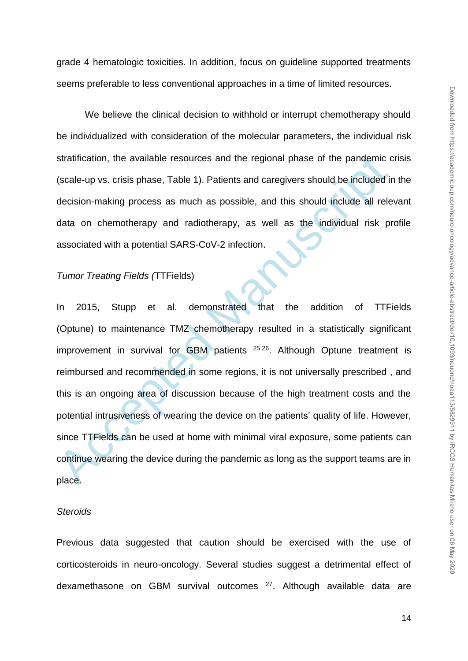grade 4 hematologic toxicities. In addition, focus on guideline supported treatments seems preferable to less conventional approaches in a time of limited resources.

We believe the clinical decision to withhold or interrupt chemotherapy should be individualized with consideration of the molecular parameters, the individual risk stratification, the available resources and the regional phase of the pandemic crisis (scale-up vs. crisis phase, Table 1). Patients and caregivers should be included in the decision-making process as much as possible, and this should include all relevant data on chemotherapy and radiotherapy, as well as the individual risk profile associated with a potential SARS-CoV-2 infection.

### *Tumor Treating Fields (*TTFields)

stratification, the available resources and the regional phase of the pandemic c<br>
(scale-up vs. crisis phase, Table 1). Patients and caregivers should be included in<br>
decision-making process as much as possible, and this s In 2015, Stupp et al. demonstrated that the addition of TTFields (Optune) to maintenance TMZ chemotherapy resulted in a statistically significant improvement in survival for GBM patients <sup>25,26</sup>. Although Optune treatment is reimbursed and recommended in some regions, it is not universally prescribed , and this is an ongoing area of discussion because of the high treatment costs and the potential intrusiveness of wearing the device on the patients' quality of life. However, since TTFields can be used at home with minimal viral exposure, some patients can continue wearing the device during the pandemic as long as the support teams are in place.

### *Steroids*

Previous data suggested that caution should be exercised with the use of corticosteroids in neuro-oncology. Several studies suggest a detrimental effect of dexamethasone on GBM survival outcomes <sup>27</sup>. Although available data are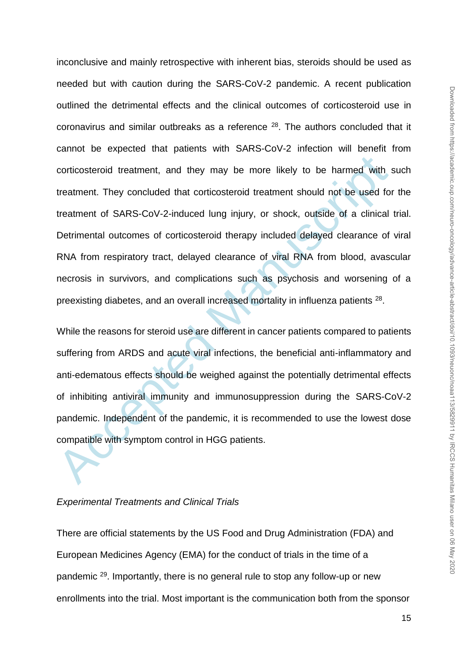conticosteroid treatment, and they may be more likely to be harmed with treatment. They concluded that conticosteroid treatment should not be used for treatment of SARS-CoV-2-induced lung injury, or shock, outside of a cli inconclusive and mainly retrospective with inherent bias, steroids should be used as needed but with caution during the SARS-CoV-2 pandemic. A recent publication outlined the detrimental effects and the clinical outcomes of corticosteroid use in coronavirus and similar outbreaks as a reference <sup>28</sup>. The authors concluded that it cannot be expected that patients with SARS-CoV-2 infection will benefit from corticosteroid treatment, and they may be more likely to be harmed with such treatment. They concluded that corticosteroid treatment should not be used for the treatment of SARS-CoV-2-induced lung injury, or shock, outside of a clinical trial. Detrimental outcomes of corticosteroid therapy included delayed clearance of viral RNA from respiratory tract, delayed clearance of viral RNA from blood, avascular necrosis in survivors, and complications such as psychosis and worsening of a preexisting diabetes, and an overall increased mortality in influenza patients <sup>28</sup>.

While the reasons for steroid use are different in cancer patients compared to patients suffering from ARDS and acute viral infections, the beneficial anti-inflammatory and anti-edematous effects should be weighed against the potentially detrimental effects of inhibiting antiviral immunity and immunosuppression during the SARS-CoV-2 pandemic. Independent of the pandemic, it is recommended to use the lowest dose compatible with symptom control in HGG patients.

## *Experimental Treatments and Clinical Trials*

There are official statements by the US Food and Drug Administration (FDA) and European Medicines Agency (EMA) for the conduct of trials in the time of a pandemic <sup>29</sup>. Importantly, there is no general rule to stop any follow-up or new enrollments into the trial. Most important is the communication both from the sponsor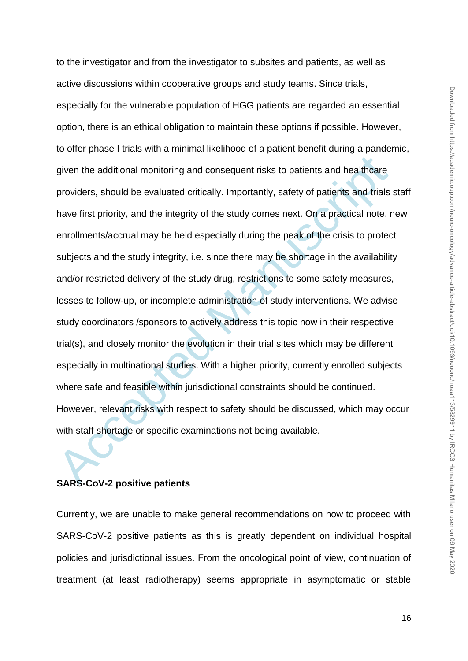given the additional monitoring and consequent risks to patients and healthcare<br>providers, should be evaluated critically. Importantly, safety of patients and trials<br>have first priority, and the integrity of the study come to the investigator and from the investigator to subsites and patients, as well as active discussions within cooperative groups and study teams. Since trials, especially for the vulnerable population of HGG patients are regarded an essential option, there is an ethical obligation to maintain these options if possible. However, to offer phase I trials with a minimal likelihood of a patient benefit during a pandemic, given the additional monitoring and consequent risks to patients and healthcare providers, should be evaluated critically. Importantly, safety of patients and trials staff have first priority, and the integrity of the study comes next. On a practical note, new enrollments/accrual may be held especially during the peak of the crisis to protect subjects and the study integrity, i.e. since there may be shortage in the availability and/or restricted delivery of the study drug, restrictions to some safety measures, losses to follow-up, or incomplete administration of study interventions. We advise study coordinators /sponsors to actively address this topic now in their respective trial(s), and closely monitor the evolution in their trial sites which may be different especially in multinational studies. With a higher priority, currently enrolled subjects where safe and feasible within jurisdictional constraints should be continued. However, relevant risks with respect to safety should be discussed, which may occur with staff shortage or specific examinations not being available.

# **SARS-CoV-2 positive patients**

Currently, we are unable to make general recommendations on how to proceed with SARS-CoV-2 positive patients as this is greatly dependent on individual hospital policies and jurisdictional issues. From the oncological point of view, continuation of treatment (at least radiotherapy) seems appropriate in asymptomatic or stable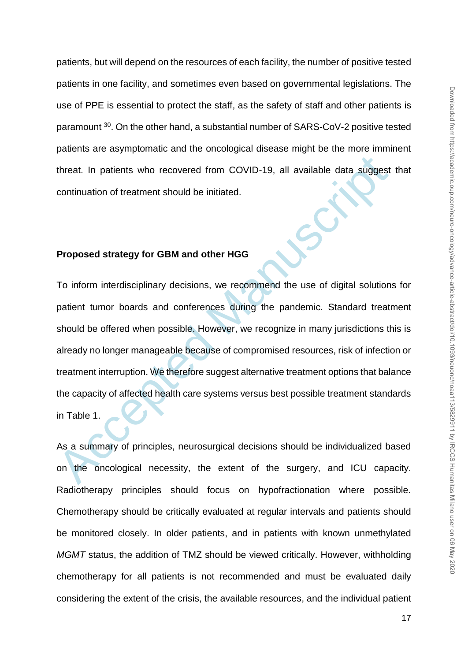patients, but will depend on the resources of each facility, the number of positive tested patients in one facility, and sometimes even based on governmental legislations. The use of PPE is essential to protect the staff, as the safety of staff and other patients is paramount <sup>30</sup>. On the other hand, a substantial number of SARS-CoV-2 positive tested patients are asymptomatic and the oncological disease might be the more imminent threat. In patients who recovered from COVID-19, all available data suggest that continuation of treatment should be initiated.

# **Proposed strategy for GBM and other HGG**

threat. In patients who recovered from COVID-19, all available data suggest<br>continuation of treatment should be initiated.<br>Proposed strategy for GBM and other HGG<br>To inform interdisciplinary decisions, we recommend the use To inform interdisciplinary decisions, we recommend the use of digital solutions for patient tumor boards and conferences during the pandemic. Standard treatment should be offered when possible. However, we recognize in many jurisdictions this is already no longer manageable because of compromised resources, risk of infection or treatment interruption. We therefore suggest alternative treatment options that balance the capacity of affected health care systems versus best possible treatment standards in Table 1.

As a summary of principles, neurosurgical decisions should be individualized based on the oncological necessity, the extent of the surgery, and ICU capacity. Radiotherapy principles should focus on hypofractionation where possible. Chemotherapy should be critically evaluated at regular intervals and patients should be monitored closely. In older patients, and in patients with known unmethylated *MGMT* status, the addition of TMZ should be viewed critically. However, withholding chemotherapy for all patients is not recommended and must be evaluated daily considering the extent of the crisis, the available resources, and the individual patient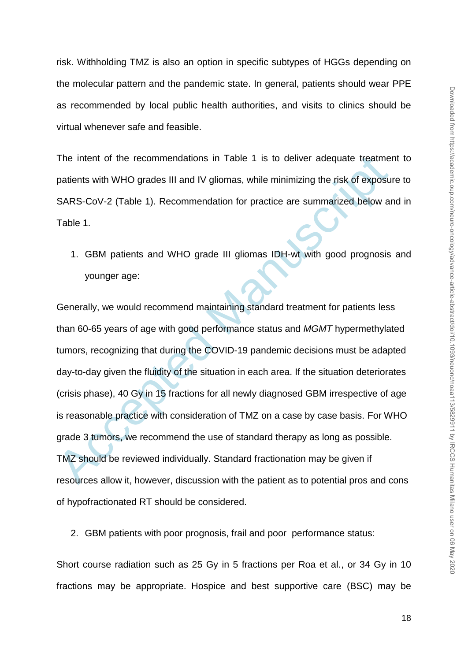risk. Withholding TMZ is also an option in specific subtypes of HGGs depending on the molecular pattern and the pandemic state. In general, patients should wear PPE as recommended by local public health authorities, and visits to clinics should be virtual whenever safe and feasible.

The intent of the recommendations in Table 1 is to deliver adequate treatment to patients with WHO grades III and IV gliomas, while minimizing the risk of exposure to SARS-CoV-2 (Table 1). Recommendation for practice are summarized below and in Table 1.

1. GBM patients and WHO grade III gliomas IDH-wt with good prognosis and younger age:

The intent of the recommendations in Table 1 is to deliver adequate treatmend<br>trients with WHO grades III and IV gliomas, while minimizing the risk of exposu<br>SARS-CoV-2 (Table 1). Recommendation for practice are summarized Generally, we would recommend maintaining standard treatment for patients less than 60-65 years of age with good performance status and *MGMT* hypermethylated tumors, recognizing that during the COVID-19 pandemic decisions must be adapted day-to-day given the fluidity of the situation in each area. If the situation deteriorates (crisis phase), 40 Gy in 15 fractions for all newly diagnosed GBM irrespective of age is reasonable practice with consideration of TMZ on a case by case basis. For WHO grade 3 tumors, we recommend the use of standard therapy as long as possible. TMZ should be reviewed individually. Standard fractionation may be given if resources allow it, however, discussion with the patient as to potential pros and cons of hypofractionated RT should be considered.

2. GBM patients with poor prognosis, frail and poor performance status:

Short course radiation such as 25 Gy in 5 fractions per Roa et al., or 34 Gy in 10 fractions may be appropriate. Hospice and best supportive care (BSC) may be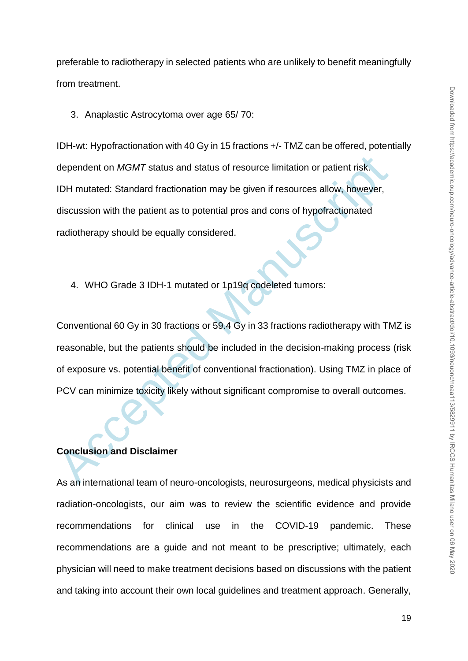preferable to radiotherapy in selected patients who are unlikely to benefit meaningfully from treatment.

3. Anaplastic Astrocytoma over age 65/ 70:

dependent on *MGMT* status and status of resource limitation or patient risk.<br>
IDH mutated: Standard fractionation may be given if resources allow, however,<br>
discussion with the patient as to potential pros and cons of hyp IDH-wt: Hypofractionation with 40 Gy in 15 fractions +/- TMZ can be offered, potentially dependent on *MGMT* status and status of resource limitation or patient risk. IDH mutated: Standard fractionation may be given if resources allow, however, discussion with the patient as to potential pros and cons of hypofractionated radiotherapy should be equally considered.

4. WHO Grade 3 IDH-1 mutated or 1p19q codeleted tumors:

Conventional 60 Gy in 30 fractions or 59.4 Gy in 33 fractions radiotherapy with TMZ is reasonable, but the patients should be included in the decision-making process (risk of exposure vs. potential benefit of conventional fractionation). Using TMZ in place of PCV can minimize toxicity likely without significant compromise to overall outcomes.

# **Conclusion and Disclaimer**

As an international team of neuro-oncologists, neurosurgeons, medical physicists and radiation-oncologists, our aim was to review the scientific evidence and provide recommendations for clinical use in the COVID-19 pandemic. These recommendations are a guide and not meant to be prescriptive; ultimately, each physician will need to make treatment decisions based on discussions with the patient and taking into account their own local guidelines and treatment approach. Generally,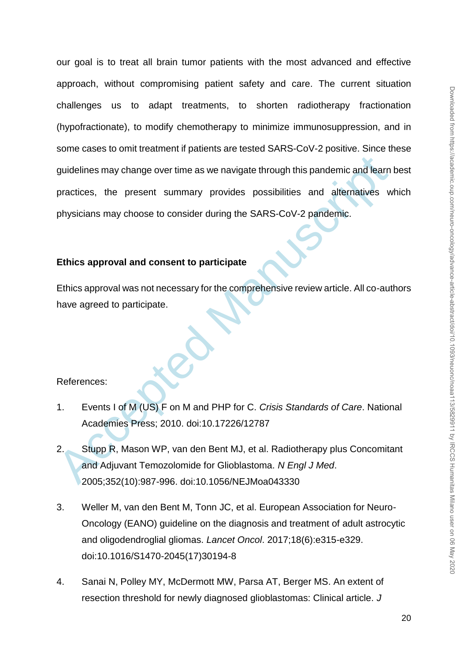guidelines may change over time as we navigate through this pandemic and learn<br>practices, the present summary provides possibilities and alternatives w<br>physicians may choose to consider during the SARS-CoV-2 pandemic.<br>Ethi our goal is to treat all brain tumor patients with the most advanced and effective approach, without compromising patient safety and care. The current situation challenges us to adapt treatments, to shorten radiotherapy fractionation (hypofractionate), to modify chemotherapy to minimize immunosuppression, and in some cases to omit treatment if patients are tested SARS-CoV-2 positive. Since these guidelines may change over time as we navigate through this pandemic and learn best practices, the present summary provides possibilities and alternatives which physicians may choose to consider during the SARS-CoV-2 pandemic.

# **Ethics approval and consent to participate**

Ethics approval was not necessary for the comprehensive review article. All co-authors have agreed to participate.

References:

- 1. Events I of M (US) F on M and PHP for C. *Crisis Standards of Care*. National Academies Press; 2010. doi:10.17226/12787
- 2. Stupp R, Mason WP, van den Bent MJ, et al. Radiotherapy plus Concomitant and Adjuvant Temozolomide for Glioblastoma. *N Engl J Med*. 2005;352(10):987-996. doi:10.1056/NEJMoa043330
- 3. Weller M, van den Bent M, Tonn JC, et al. European Association for Neuro-Oncology (EANO) guideline on the diagnosis and treatment of adult astrocytic and oligodendroglial gliomas. *Lancet Oncol*. 2017;18(6):e315-e329. doi:10.1016/S1470-2045(17)30194-8
- 4. Sanai N, Polley MY, McDermott MW, Parsa AT, Berger MS. An extent of resection threshold for newly diagnosed glioblastomas: Clinical article. *J*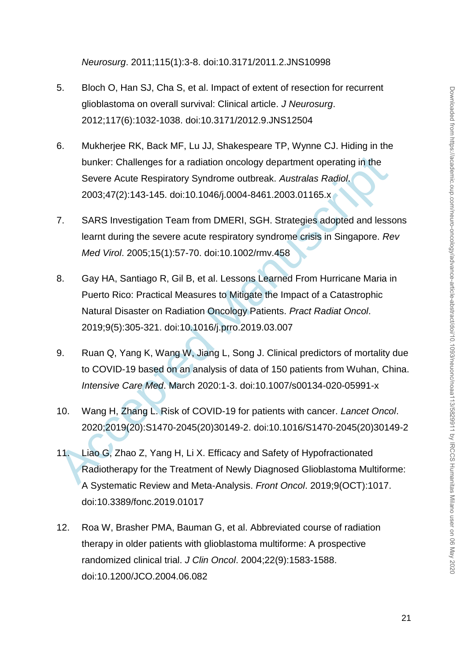*Neurosurg*. 2011;115(1):3-8. doi:10.3171/2011.2.JNS10998

- 5. Bloch O, Han SJ, Cha S, et al. Impact of extent of resection for recurrent glioblastoma on overall survival: Clinical article. *J Neurosurg*. 2012;117(6):1032-1038. doi:10.3171/2012.9.JNS12504
- 6. Mukherjee RK, Back MF, Lu JJ, Shakespeare TP, Wynne CJ. Hiding in the bunker: Challenges for a radiation oncology department operating in the Severe Acute Respiratory Syndrome outbreak. *Australas Radiol*. 2003;47(2):143-145. doi:10.1046/j.0004-8461.2003.01165.x
- 7. SARS Investigation Team from DMERI, SGH. Strategies adopted and lessons learnt during the severe acute respiratory syndrome crisis in Singapore. *Rev Med Virol*. 2005;15(1):57-70. doi:10.1002/rmv.458
- bunker: Challenges for a radiation oncology department operating in the<br>Severe Acute Respiratory Syndrome outbreak. Australas Radiol.<br>2003;47(2):143-145. doi:10.1046/j.0004-8461.2003.01165.x<br>5ARS Investigation Team from DM 8. Gay HA, Santiago R, Gil B, et al. Lessons Learned From Hurricane Maria in Puerto Rico: Practical Measures to Mitigate the Impact of a Catastrophic Natural Disaster on Radiation Oncology Patients. *Pract Radiat Oncol*. 2019;9(5):305-321. doi:10.1016/j.prro.2019.03.007
- 9. Ruan Q, Yang K, Wang W, Jiang L, Song J. Clinical predictors of mortality due to COVID-19 based on an analysis of data of 150 patients from Wuhan, China. *Intensive Care Med*. March 2020:1-3. doi:10.1007/s00134-020-05991-x
- 10. Wang H, Zhang L. Risk of COVID-19 for patients with cancer. *Lancet Oncol*. 2020;2019(20):S1470-2045(20)30149-2. doi:10.1016/S1470-2045(20)30149-2
- 11. Liao G, Zhao Z, Yang H, Li X. Efficacy and Safety of Hypofractionated Radiotherapy for the Treatment of Newly Diagnosed Glioblastoma Multiforme: A Systematic Review and Meta-Analysis. *Front Oncol*. 2019;9(OCT):1017. doi:10.3389/fonc.2019.01017
- 12. Roa W, Brasher PMA, Bauman G, et al. Abbreviated course of radiation therapy in older patients with glioblastoma multiforme: A prospective randomized clinical trial. *J Clin Oncol*. 2004;22(9):1583-1588. doi:10.1200/JCO.2004.06.082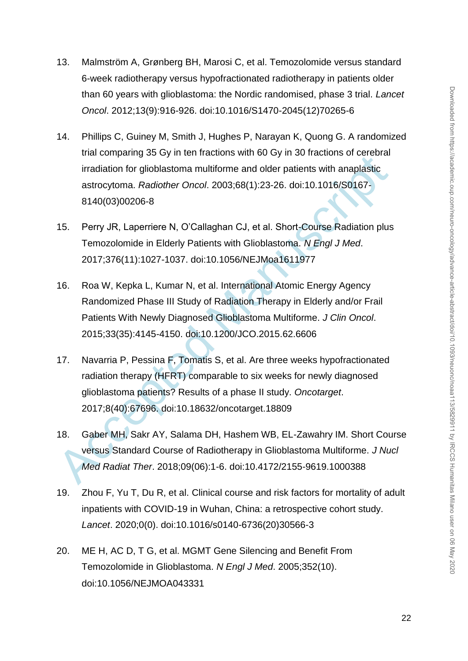- 13. Malmström A, Grønberg BH, Marosi C, et al. Temozolomide versus standard 6-week radiotherapy versus hypofractionated radiotherapy in patients older than 60 years with glioblastoma: the Nordic randomised, phase 3 trial. *Lancet Oncol*. 2012;13(9):916-926. doi:10.1016/S1470-2045(12)70265-6
- 14. Phillips C, Guiney M, Smith J, Hughes P, Narayan K, Quong G. A randomized trial comparing 35 Gy in ten fractions with 60 Gy in 30 fractions of cerebral irradiation for glioblastoma multiforme and older patients with anaplastic astrocytoma. *Radiother Oncol*. 2003;68(1):23-26. doi:10.1016/S0167- 8140(03)00206-8
- 15. Perry JR, Laperriere N, O'Callaghan CJ, et al. Short-Course Radiation plus Temozolomide in Elderly Patients with Glioblastoma. *N Engl J Med*. 2017;376(11):1027-1037. doi:10.1056/NEJMoa1611977
- 16. Roa W, Kepka L, Kumar N, et al. International Atomic Energy Agency Randomized Phase III Study of Radiation Therapy in Elderly and/or Frail Patients With Newly Diagnosed Glioblastoma Multiforme. *J Clin Oncol*. 2015;33(35):4145-4150. doi:10.1200/JCO.2015.62.6606
- inal comparing 55 cylin terrifactoris wind obey in to mactual incredibility and incredibility metallication and dider patients with anaplastic<br>astrocytoma. Radiother Oncol. 2003;68(1):23-26. doi:10.1016/S0167-<br>8140(03)0020 17. Navarria P, Pessina F, Tomatis S, et al. Are three weeks hypofractionated radiation therapy (HFRT) comparable to six weeks for newly diagnosed glioblastoma patients? Results of a phase II study. *Oncotarget*. 2017;8(40):67696. doi:10.18632/oncotarget.18809
- 18. Gaber MH, Sakr AY, Salama DH, Hashem WB, EL-Zawahry IM. Short Course versus Standard Course of Radiotherapy in Glioblastoma Multiforme. *J Nucl Med Radiat Ther*. 2018;09(06):1-6. doi:10.4172/2155-9619.1000388
- 19. Zhou F, Yu T, Du R, et al. Clinical course and risk factors for mortality of adult inpatients with COVID-19 in Wuhan, China: a retrospective cohort study. *Lancet*. 2020;0(0). doi:10.1016/s0140-6736(20)30566-3
- 20. ME H, AC D, T G, et al. MGMT Gene Silencing and Benefit From Temozolomide in Glioblastoma. *N Engl J Med*. 2005;352(10). doi:10.1056/NEJMOA043331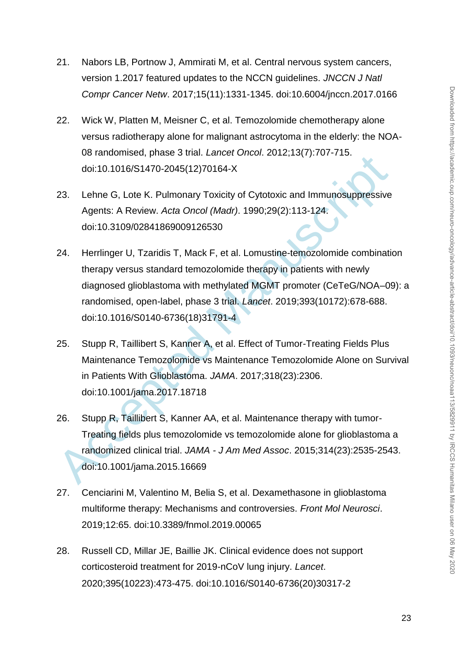- 21. Nabors LB, Portnow J, Ammirati M, et al. Central nervous system cancers, version 1.2017 featured updates to the NCCN guidelines. *JNCCN J Natl Compr Cancer Netw*. 2017;15(11):1331-1345. doi:10.6004/jnccn.2017.0166
- 22. Wick W, Platten M, Meisner C, et al. Temozolomide chemotherapy alone versus radiotherapy alone for malignant astrocytoma in the elderly: the NOA-08 randomised, phase 3 trial. *Lancet Oncol*. 2012;13(7):707-715. doi:10.1016/S1470-2045(12)70164-X
- 23. Lehne G, Lote K. Pulmonary Toxicity of Cytotoxic and Immunosuppressive Agents: A Review. *Acta Oncol (Madr)*. 1990;29(2):113-124. doi:10.3109/02841869009126530
- oo randomised, phase 3 ntal. Lancer Oncol. 2012, 13(1), 1701-713.<br>
doi:10.1016/S1470-2045(12)70164-X<br>
23. Lehne G, Lote K. Pulmonary Toxicity of Cytotoxic and Immunosuppressive<br>
Agents: A Review. Acta Oncol (Madr). 1990;29 24. Herrlinger U, Tzaridis T, Mack F, et al. Lomustine-temozolomide combination therapy versus standard temozolomide therapy in patients with newly diagnosed glioblastoma with methylated MGMT promoter (CeTeG/NOA–09): a randomised, open-label, phase 3 trial. *Lancet*. 2019;393(10172):678-688. doi:10.1016/S0140-6736(18)31791-4
- 25. Stupp R, Taillibert S, Kanner A, et al. Effect of Tumor-Treating Fields Plus Maintenance Temozolomide vs Maintenance Temozolomide Alone on Survival in Patients With Glioblastoma. *JAMA*. 2017;318(23):2306. doi:10.1001/jama.2017.18718
- 26. Stupp R, Taillibert S, Kanner AA, et al. Maintenance therapy with tumor-Treating fields plus temozolomide vs temozolomide alone for glioblastoma a randomized clinical trial. *JAMA - J Am Med Assoc*. 2015;314(23):2535-2543. doi:10.1001/jama.2015.16669
- 27. Cenciarini M, Valentino M, Belia S, et al. Dexamethasone in glioblastoma multiforme therapy: Mechanisms and controversies. *Front Mol Neurosci*. 2019;12:65. doi:10.3389/fnmol.2019.00065
- 28. Russell CD, Millar JE, Baillie JK. Clinical evidence does not support corticosteroid treatment for 2019-nCoV lung injury. *Lancet*. 2020;395(10223):473-475. doi:10.1016/S0140-6736(20)30317-2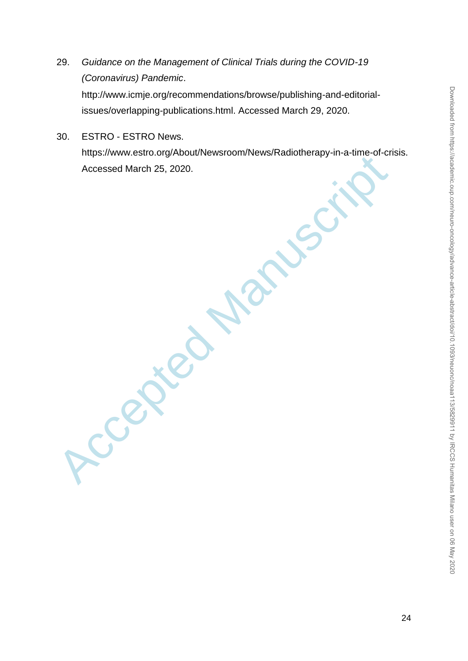- 29. *Guidance on the Management of Clinical Trials during the COVID-19 (Coronavirus) Pandemic*. http://www.icmje.org/recommendations/browse/publishing-and-editorialissues/overlapping-publications.html. Accessed March 29, 2020.
- Accessed March 25, 2020. 30. ESTRO - ESTRO News. https://www.estro.org/About/Newsroom/News/Radiotherapy-in-a-time-of-crisis. Accessed March 25, 2020.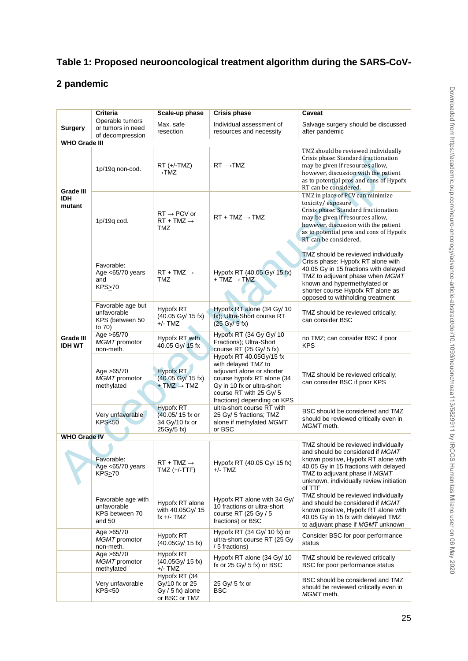# **Table 1: Proposed neurooncological treatment algorithm during the SARS-CoV-**

# **2 pandemic**

|                                          | <b>Criteria</b>                                               | Scale-up phase                                                         | <b>Crisis phase</b>                                                                                                                                                                               | Caveat                                                                                                                                                                                                                                                         |  |  |
|------------------------------------------|---------------------------------------------------------------|------------------------------------------------------------------------|---------------------------------------------------------------------------------------------------------------------------------------------------------------------------------------------------|----------------------------------------------------------------------------------------------------------------------------------------------------------------------------------------------------------------------------------------------------------------|--|--|
| Surgery                                  | Operable tumors<br>or tumors in need<br>of decompression      | Max. safe<br>resection                                                 | Individual assessment of<br>resources and necessity                                                                                                                                               | Salvage surgery should be discussed<br>after pandemic                                                                                                                                                                                                          |  |  |
| WHO Grade III                            |                                                               |                                                                        |                                                                                                                                                                                                   |                                                                                                                                                                                                                                                                |  |  |
| <b>Grade III</b><br><b>IDH</b><br>mutant | 1p/19q non-cod.                                               | $RT (+/-TMZ)$<br>$\rightarrow$ TMZ                                     | $RT \rightarrow TMZ$                                                                                                                                                                              | TMZ should be reviewed individually<br>Crisis phase: Standard fractionation<br>may be given if resources allow,<br>however, discussion with the patient<br>as to potential pros and cons of Hypofx<br>RT can be considered.                                    |  |  |
|                                          | 1p/19q cod.                                                   | $RT \rightarrow PCV$ or<br>$RT + TMZ \rightarrow$<br>TMZ               | $RT + TMZ \rightarrow TMZ$                                                                                                                                                                        | TMZ in place of PCV can minimize<br>toxicity/exposure<br>Crisis phase: Standard fractionation<br>may be given if resources allow,<br>however, discussion with the patient<br>as to potential pros and cons of Hypofx<br>RT can be considered.                  |  |  |
| Grade III<br><b>IDH WT</b>               | Favorable:<br>Age <65/70 years<br>and<br>KPS <sub>2</sub> 70  | $RT + TMZ \rightarrow$<br>TMZ                                          | Hypofx RT (40.05 Gy/ 15 fx)<br>$+ TMZ \rightarrow TMZ$                                                                                                                                            | TMZ should be reviewed individually<br>Crisis phase: Hypofx RT alone with<br>40.05 Gy in 15 fractions with delayed<br>TMZ to adjuvant phase when MGMT<br>known and hypermethylated or<br>shorter course Hypofx RT alone as<br>opposed to withholding treatment |  |  |
|                                          | Favorable age but<br>unfavorable<br>KPS (between 50<br>to 70) | Hypofx RT<br>(40.05 Gy/ 15 fx)<br>+/- TMZ                              | Hypofx RT alone (34 Gy/ 10<br>fx); Ultra-Short course RT<br>$(25 \text{ Gy} / 5 \text{ fx})$                                                                                                      | TMZ should be reviewed critically;<br>can consider BSC                                                                                                                                                                                                         |  |  |
|                                          | Age >65/70<br>MGMT promotor<br>non-meth.                      | Hypofx RT with<br>40.05 Gy/ 15 fx                                      | Hypofx RT (34 Gy Gy/ 10<br>Fractions); Ultra-Short<br>course RT (25 Gy/ 5 fx)                                                                                                                     | no TMZ; can consider BSC if poor<br><b>KPS</b>                                                                                                                                                                                                                 |  |  |
|                                          | Age >65/70<br>MGMT promotor<br>methylated                     | <b>Hypofx RT</b><br>(40.05 Gy/ 15 fx)<br>$+ TMZ \rightarrow TMZ$       | Hypofx RT 40.05Gy/15 fx<br>with delayed TMZ to<br>adjuvant alone or shorter<br>course hypofx RT alone (34<br>Gy in 10 fx or ultra-short<br>course RT with 25 Gy/ 5<br>fractions) depending on KPS | TMZ should be reviewed critically;<br>can consider BSC if poor KPS                                                                                                                                                                                             |  |  |
|                                          | Very unfavorable<br>KPS < 50                                  | <b>Hypofx RT</b><br>(40.05/15 fx or<br>34 Gy/10 fx or<br>25Gy/5 fx)    | ultra-short course RT with<br>25 Gy/ 5 fractions; TMZ<br>alone if methylated MGMT<br>or BSC                                                                                                       | BSC should be considered and TMZ<br>should be reviewed critically even in<br>MGMT meth.                                                                                                                                                                        |  |  |
| <b>WHO Grade IV</b>                      |                                                               |                                                                        |                                                                                                                                                                                                   |                                                                                                                                                                                                                                                                |  |  |
|                                          | Favorable:<br>Age $<$ 65/70 years<br><b>KPS&gt;70</b>         | $RT + TMZ \rightarrow$<br>$TMZ (+/-TTF)$                               | Hypofx RT (40.05 Gy/ 15 fx)<br>$+/-$ TMZ                                                                                                                                                          | TMZ should be reviewed individually<br>and should be considered if MGMT<br>known positive, Hypofx RT alone with<br>40.05 Gy in 15 fractions with delayed<br>TMZ to adjuvant phase if MGMT<br>unknown, individually review initiation<br>of TTF                 |  |  |
|                                          | Favorable age with<br>unfavorable<br>KPS between 70<br>and 50 | Hypofx RT alone<br>with 40.05Gy/ 15<br>fx $+/-$ TMZ                    | Hypofx RT alone with 34 Gy/<br>10 fractions or ultra-short<br>course RT (25 Gy / 5<br>fractions) or BSC                                                                                           | TMZ should be reviewed individually<br>and should be considered if MGMT<br>known positive, Hypofx RT alone with<br>40.05 Gy in 15 fx with delayed TMZ<br>to adjuvant phase if MGMT unknown                                                                     |  |  |
|                                          | Age >65/70<br>MGMT promotor<br>non-meth.                      | Hypofx RT<br>(40.05Gy/ 15 fx)                                          | Hypofx RT $(34 \text{ Gy} / 10 \text{ fx})$ or<br>ultra-short course RT (25 Gy<br>/ 5 fractions)                                                                                                  | Consider BSC for poor performance<br>status                                                                                                                                                                                                                    |  |  |
|                                          | Age >65/70<br>MGMT promotor<br>methylated                     | Hypofx RT<br>(40.05Gy/ 15 fx)<br>+/- TMZ                               | Hypofx RT alone (34 Gy/ 10<br>fx or $25 \text{ Gy} / 5 \text{ fx}$ ) or BSC                                                                                                                       | TMZ should be reviewed critically<br>BSC for poor performance status                                                                                                                                                                                           |  |  |
|                                          | Very unfavorable<br><b>KPS&lt;50</b>                          | Hypofx RT (34<br>Gy/10 fx or 25<br>$Gy / 5$ fx) alone<br>or BSC or TMZ | 25 Gy/ 5 fx or<br>BSC                                                                                                                                                                             | BSC should be considered and TMZ<br>should be reviewed critically even in<br>MGMT meth.                                                                                                                                                                        |  |  |